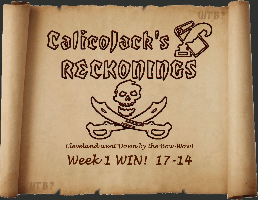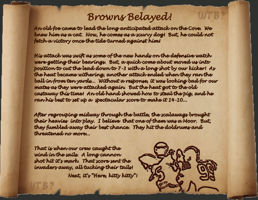## *Browns Belayed!*

*An old foe came to lead the long anticipated attack on the Cove. We knew him as a cat. Now, he comes as a scurvy dog! But, he could not fetch a victory once the tide turned against him!*

*His attack was swift as some of the new hands on the defensive watch were getting their bearings. But, a quick come about moved us into position to cut the lead down to 7-3 with a long shot by our kicker! As the heat became withering, another attack ended when they ran the ball in from ten yards... Without a response, it was looking bad for our mates as they were attacked again. But the heat got to the old castaway this time! An old hand showed how to steal the pig, and he ran his best to set up a spectacular score to make it 14-10...*

*After regrouping midway through the battle, the scalawags brought their heavies into play. I believe that one of them was a Moor. But, they fumbled away their best chance. They hit the doldrums and threatened no more...*

*That is when our crew caught the wind in the sails. A long cannon shot hit it's mark. That score sent the invaders away, all tucking their tails!*

*Next, it's "Here, kitty kitty"!*

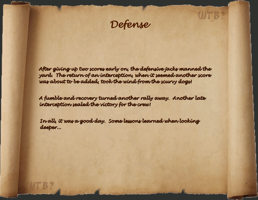

*After giving up two scores early on, the defensive jacks manned the yard. The return of an interception, when it seemed another score was about to be added, took the wind from the scurvy dogs!*

*A fumble and recovery turned another rally away. Another late interception sealed the victory for the crew!*

*In all, it was a good day. Some lessons learned when looking deeper...*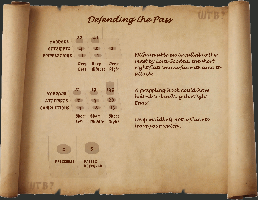## *Defending the Pass*





*With an able mate called to the mast by Lord Goodell, the short right flats were a favorite area to attack.*

WERS

*A grappling hook could have helped in landing the Tight Ends!*

*Deep middle is not a place to leave your watch...*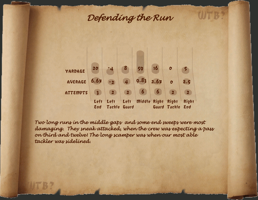## *Defending the Run*



*Two long runs in the middle gaps and some end sweeps were most damaging. They sneak attacked, when the crew was expecting a pass on third and twelve! The long scamper was when our most able tackler was sidelined.*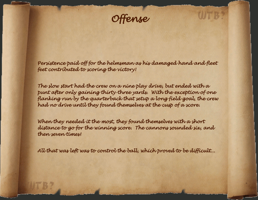*Offense*

*Persistence paid off for the helmsman as his damaged hand and fleet feet contributed to scoring the victory!*

*The slow start had the crew on a nine play drive, but ended with a punt after only gaining thirty-three yards. With the exception of one flanking run by the quarterback that setup a long field goal, the crew had no drive until they found themselves at the cusp of a score.*

*When they needed it the most, they found themselves with a short distance to go for the winning score. The cannons sounded six, and then seven times!*

*All that was left was to control the ball, which proved to be difficult...*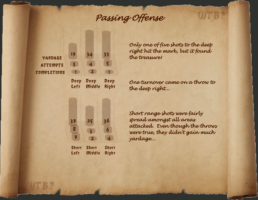# *Passing Offense*



Left Middle Right



*Only one of five shots to the deep right hit the mark, but it found the treasure!*

*One turnover came on a throw to the deep right...*

*Short range shots were fairly spread amongst all areas attacked. Even though the throws were true, they didn't gain much yardage...*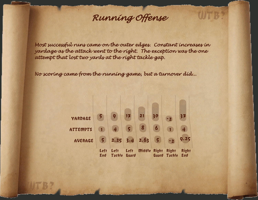## *Running Offense*

*Most successful runs came on the outer edges. Constant increases in yardage as the attack went to the right. The exception was the one attempt that lost two yards at the right tackle gap.*

*No scoring came from the running game, but a turnover did...*

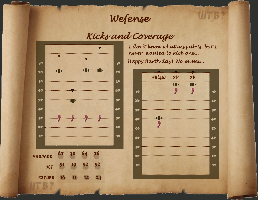# *Wefense*

# *Kicks and Coverage*



*I don't know what a squib is, but I never wanted to kick one... Happy Barth day! No misses...*

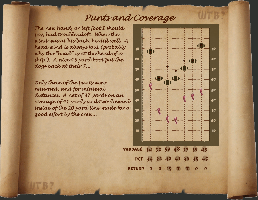### *Punts and Coverage*

*The new hand, or left foot I should say, had trouble aloft. When the wind was at his back, he did well. A head wind is always foul (probably why the "head" is at the head of a ship!). A nice 45 yard boot put the dogs back at their 7...*

*Only three of the punts were returned, and for minimal distances. A net of 37 yards on an average of 41 yards and two downed inside of the 20 yard line made for a good effort by the crew...*

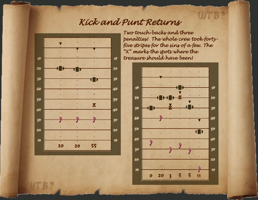## *Kick and Punt Returns*



*Two touch-backs and three penalties! The whole crew took fortyfive stripes for the sins of a few. The "X" marks the spots where the treasure should have been!*